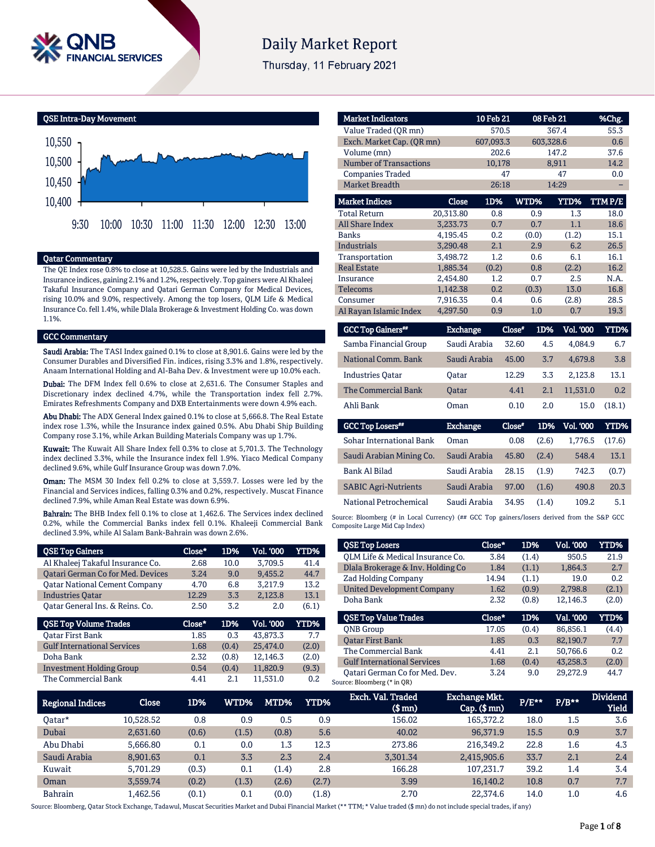

# **Daily Market Report**

Thursday, 11 February 2021

QSE Intra-Day Movement



# Qatar Commentary

The QE Index rose 0.8% to close at 10,528.5. Gains were led by the Industrials and Insurance indices, gaining 2.1% and 1.2%, respectively. Top gainers were Al Khaleej Takaful Insurance Company and Qatari German Company for Medical Devices, rising 10.0% and 9.0%, respectively. Among the top losers, QLM Life & Medical Insurance Co. fell 1.4%, while Dlala Brokerage & Investment Holding Co. was down 1.1%.

#### **GCC Commentary**

Saudi Arabia: The TASI Index gained 0.1% to close at 8,901.6. Gains were led by the Consumer Durables and Diversified Fin. indices, rising 3.3% and 1.8%, respectively. Anaam International Holding and Al-Baha Dev. & Investment were up 10.0% each.

Dubai: The DFM Index fell 0.6% to close at 2,631.6. The Consumer Staples and Discretionary index declined 4.7%, while the Transportation index fell 2.7%. Emirates Refreshments Company and DXB Entertainments were down 4.9% each.

Abu Dhabi: The ADX General Index gained 0.1% to close at 5,666.8. The Real Estate index rose 1.3%, while the Insurance index gained 0.5%. Abu Dhabi Ship Building Company rose 3.1%, while Arkan Building Materials Company was up 1.7%.

Kuwait: The Kuwait All Share Index fell 0.3% to close at 5,701.3. The Technology index declined 3.3%, while the Insurance index fell 1.9%. Yiaco Medical Company declined 9.6%, while Gulf Insurance Group was down 7.0%.

Oman: The MSM 30 Index fell 0.2% to close at 3,559.7. Losses were led by the Financial and Services indices, falling 0.3% and 0.2%, respectively. Muscat Finance declined 7.9%, while Aman Real Estate was down 6.9%.

Bahrain: The BHB Index fell 0.1% to close at 1,462.6. The Services index declined 0.2%, while the Commercial Banks index fell 0.1%. Khaleeji Commercial Bank declined 3.9%, while Al Salam Bank-Bahrain was down 2.6%.

| <b>OSE Top Gainers</b>                   | Close* | 1D%   | Vol. '000        | <b>YTD%</b> |
|------------------------------------------|--------|-------|------------------|-------------|
| Al Khaleej Takaful Insurance Co.         | 2.68   | 10.0  | 3.709.5          | 41.4        |
| <b>Qatari German Co for Med. Devices</b> | 3.24   | 9.0   | 9.455.2          | 44.7        |
| <b>Qatar National Cement Company</b>     | 4.70   | 6.8   | 3.217.9          | 13.2        |
| <b>Industries Oatar</b>                  | 12.29  | 3.3   | 2.123.8          | 13.1        |
| Oatar General Ins. & Reins. Co.          | 2.50   | 3.2   | 2.0              | (6.1)       |
|                                          |        |       |                  |             |
| <b>QSE Top Volume Trades</b>             | Close* | 1D%   | <b>Vol. '000</b> | YTD%        |
| Oatar First Bank                         | 1.85   | 0.3   | 43.873.3         | 7.7         |
| <b>Gulf International Services</b>       | 1.68   | (0.4) | 25.474.0         | (2.0)       |
| Doha Bank                                | 2.32   | (0.8) | 12,146.3         | (2.0)       |
| <b>Investment Holding Group</b>          | 0.54   | (0.4) | 11.820.9         | (9.3)       |

| <b>Market Indicators</b>      |                 | 10 Feb 21 |          | 08 Feb 21               | %Chg.       |
|-------------------------------|-----------------|-----------|----------|-------------------------|-------------|
| Value Traded (OR mn)          |                 | 570.5     |          | 367.4                   | 55.3        |
| Exch. Market Cap. (QR mn)     |                 | 607,093.3 |          | 603,328.6               | 0.6         |
| Volume (mn)                   |                 | 202.6     |          | 147.2                   | 37.6        |
| <b>Number of Transactions</b> |                 | 10,178    |          | 8,911                   | 14.2        |
| <b>Companies Traded</b>       |                 | 47        |          | 47                      | 0.0         |
| <b>Market Breadth</b>         |                 | 26:18     |          | 14:29                   |             |
| <b>Market Indices</b>         | <b>Close</b>    | 1D%       | WTD%     | <b>YTD%</b>             | TTMP/E      |
| <b>Total Return</b>           | 20,313.80       | 0.8       | 0.9      | 1.3                     | 18.0        |
| <b>All Share Index</b>        | 3,233.73        | 0.7       | 0.7      | 1.1                     | 18.6        |
| <b>Banks</b>                  | 4,195.45        | 0.2       | (0.0)    | (1.2)                   | 15.1        |
| <b>Industrials</b>            | 3.290.48        | 2.1       | 2.9      | 6.2                     | 26.5        |
| Transportation                | 3,498.72        | 1.2       | 0.6      | 6.1                     | 16.1        |
| <b>Real Estate</b>            | 1,885.34        | (0.2)     | 0.8      | (2.2)                   | 16.2        |
| Insurance                     | 2,454.80        | 1.2       | 0.7      | 2.5                     | N.A.        |
| <b>Telecoms</b>               | 1,142.38        | 0.2       | (0.3)    | 13.0                    | 16.8        |
| Consumer                      | 7,916.35        | 0.4       | 0.6      | (2.8)                   | 28.5        |
| Al Rayan Islamic Index        | 4,297.50        | 0.9       | 1.0      | 0.7                     | 19.3        |
| <b>GCC Top Gainers**</b>      | <b>Exchange</b> |           | $Close*$ | 1D%<br><b>Vol. '000</b> | <b>YTD%</b> |
| Samba Financial Group         | Saudi Arabia    |           | 32.60    | 4.5<br>4,084.9          | 6.7         |
| National Comm. Bank           | Saudi Arabia    |           | 45.00    | 3.7<br>4,679.8          | 3.8         |
| <b>Industries Oatar</b>       | Oatar           |           | 12.29    | 3.3<br>2,123.8          | 13.1        |

The Commercial Bank Qatar 4.41 2.1 11,531.0 0.2 Ahli Bank Oman 0.10 2.0 15.0 (18.1)

Exchange Close#

Sohar International Bank Oman 0.08 (2.6) 1,776.5 (17.6) Saudi Arabian Mining Co. Saudi Arabia 45.80 (2.4) 548.4 13.1 Bank Al Bilad Saudi Arabia 28.15 (1.9) 742.3 (0.7) SABIC Agri-Nutrients Saudi Arabia 97.00 (1.6) 490.8 20.3 National Petrochemical Saudi Arabia 34.95 (1.4) 109.2 5.1

1D% Vol. '000 YTD%

Source: Bloomberg (# in Local Currency) (## GCC Top gainers/losers derived from the S&P GCC Composite Large Mid Cap Index)

| <b>QSE Top Losers</b>                                                                                                                   | Close* | 1D%   | <b>Vol. '000</b> | YTD%  |
|-----------------------------------------------------------------------------------------------------------------------------------------|--------|-------|------------------|-------|
| QLM Life & Medical Insurance Co.                                                                                                        | 3.84   | (1.4) | 950.5            | 21.9  |
| Dlala Brokerage & Inv. Holding Co                                                                                                       | 1.84   | (1.1) | 1.864.3          | 2.7   |
| Zad Holding Company                                                                                                                     | 14.94  | (1.1) | 19.0             | 0.2   |
| <b>United Development Company</b>                                                                                                       | 1.62   | (0.9) | 2.798.8          | (2.1) |
| Doha Bank                                                                                                                               | 2.32   | (0.8) | 12.146.3         | (2.0) |
|                                                                                                                                         |        |       |                  |       |
|                                                                                                                                         | Close* | 1D%   | Val. '000        | YTD%  |
|                                                                                                                                         | 17.05  | (0.4) | 86.856.1         | (4.4) |
|                                                                                                                                         | 1.85   | 0.3   | 82.190.7         | 7.7   |
|                                                                                                                                         | 4.41   | 2.1   | 50.766.6         | 0.2   |
| <b>OSE Top Value Trades</b><br><b>ONB</b> Group<br><b>Oatar First Bank</b><br>The Commercial Bank<br><b>Gulf International Services</b> | 1.68   | (0.4) | 43.258.3         | (2.0) |

| <b>Regional Indices</b> | <b>Close</b>     | 1D%   | WTD%' | MTD%    | <b>YTD%</b> | Exch. Val. Traded<br>$$$ mn $)$ | <b>Exchange Mkt.</b><br>$Cap.$ $(\$$ mn) | $P/E***$ | $P/B**$ | <b>Dividend</b><br><b>Yield</b> |
|-------------------------|------------------|-------|-------|---------|-------------|---------------------------------|------------------------------------------|----------|---------|---------------------------------|
| 0atar*                  | 10.528.52        | 0.8   | 0.9   | 0.5     | 0.9         | 156.02                          | 165.372.2                                | 18.0     | 1.5     | 3.6                             |
| Dubai                   | 2,631.60         | (0.6) | (1.5) | (0.8)   | 5.6         | 40.02                           | 96,371.9                                 | 15.5     | 0.9     | 3.7                             |
| Abu Dhabi               | 5.666.80         | 0.1   | 0.0   | $1.3\,$ | 12.3        | 273.86                          | 216,349.2                                | 22.8     | 1.6     | 4.3                             |
| Saudi Arabia            | 8.901.63         | 0.1   | 3.3   | 2.3     | 2.4         | 3.301.34                        | 2,415,905.6                              | 33.7     | 2.1     | 2.4                             |
| Kuwait                  | 5.701.29         | (0.3) | 0.1   | (1.4)   | 2.8         | 166.28                          | 107.231.7                                | 39.2     | 1.4     | 3.4                             |
| Oman                    | 3.559.74         | (0.2) | (1.3) | (2.6)   | (2.7)       | 3.99                            | 16,140.2                                 | 10.8     | 0.7     | 7.7                             |
| <b>Bahrain</b>          | l <b>,462.56</b> | (0.1) | 0.1   | (0.0)   | (1.8)       | 2.70                            | 22.374.6                                 | 14.0     | 1.0     | 4.6                             |

GCC Top Losers\*\*

Source: Bloomberg, Qatar Stock Exchange, Tadawul, Muscat Securities Market and Dubai Financial Market (\*\* TTM; \* Value traded (\$ mn) do not include special trades, if any)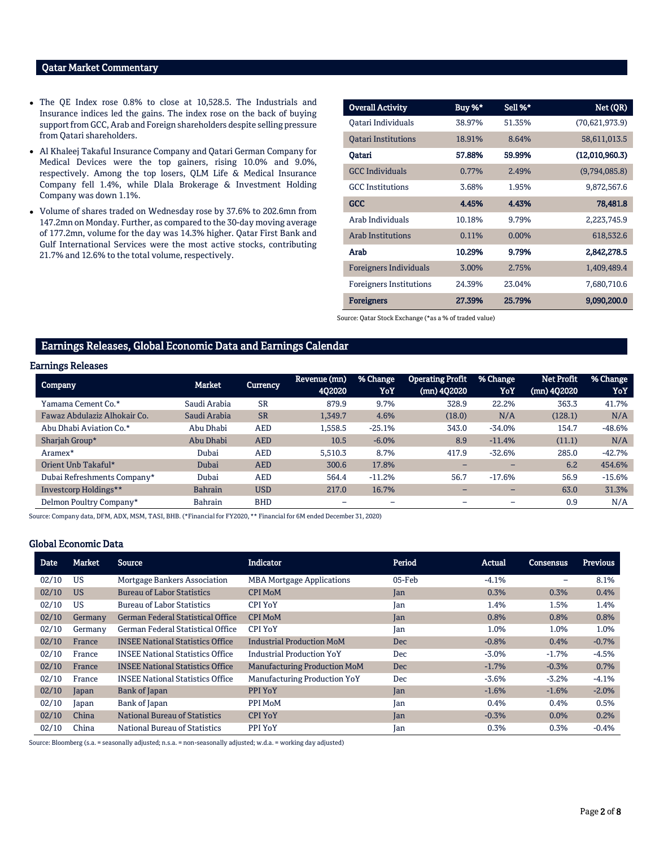# Qatar Market Commentary

- The QE Index rose 0.8% to close at 10,528.5. The Industrials and Insurance indices led the gains. The index rose on the back of buying support from GCC, Arab and Foreign shareholders despite selling pressure from Qatari shareholders.
- Al Khaleej Takaful Insurance Company and Qatari German Company for Medical Devices were the top gainers, rising 10.0% and 9.0%, respectively. Among the top losers, QLM Life & Medical Insurance Company fell 1.4%, while Dlala Brokerage & Investment Holding Company was down 1.1%.
- Volume of shares traded on Wednesday rose by 37.6% to 202.6mn from 147.2mn on Monday. Further, as compared to the 30-day moving average of 177.2mn, volume for the day was 14.3% higher. Qatar First Bank and Gulf International Services were the most active stocks, contributing 21.7% and 12.6% to the total volume, respectively.

| <b>Overall Activity</b>        | Buy %* | Sell %* | Net (QR)       |
|--------------------------------|--------|---------|----------------|
| Oatari Individuals             | 38.97% | 51.35%  | (70,621,973.9) |
| <b>Oatari Institutions</b>     | 18.91% | 8.64%   | 58,611,013.5   |
| Oatari                         | 57.88% | 59.99%  | (12,010,960.3) |
| <b>GCC</b> Individuals         | 0.77%  | 2.49%   | (9,794,085.8)  |
| <b>GCC</b> Institutions        | 3.68%  | 1.95%   | 9,872,567.6    |
| GCC                            | 4.45%  | 4.43%   | 78,481.8       |
| Arab Individuals               | 10.18% | 9.79%   | 2,223,745.9    |
| <b>Arab Institutions</b>       | 0.11%  | 0.00%   | 618,532.6      |
| Arab                           | 10.29% | 9.79%   | 2,842,278.5    |
| <b>Foreigners Individuals</b>  | 3.00%  | 2.75%   | 1,409,489.4    |
| <b>Foreigners Institutions</b> | 24.39% | 23.04%  | 7,680,710.6    |
| <b>Foreigners</b>              | 27.39% | 25.79%  | 9,090,200.0    |

Source: Qatar Stock Exchange (\*as a % of traded value)

# Earnings Releases, Global Economic Data and Earnings Calendar

# Earnings Releases

| <b>Company</b>               | Market         | <b>Currency</b> | 'Revenue (mn)<br>402020 | % Change<br>YoY | <b>Operating Profit</b><br>(mn) 402020 | % Change<br>YoY | Net Profit<br>(mn) 4Q2020 | % Change<br>YoY |
|------------------------------|----------------|-----------------|-------------------------|-----------------|----------------------------------------|-----------------|---------------------------|-----------------|
| Yamama Cement Co.*           | Saudi Arabia   | <b>SR</b>       | 879.9                   | 9.7%            | 328.9                                  | 22.2%           | 363.3                     | 41.7%           |
| Fawaz Abdulaziz Alhokair Co. | Saudi Arabia   | <b>SR</b>       | 1,349.7                 | 4.6%            | (18.0)                                 | N/A             | (128.1)                   | N/A             |
| Abu Dhabi Aviation Co.*      | Abu Dhabi      | <b>AED</b>      | 1.558.5                 | $-25.1%$        | 343.0                                  | $-34.0%$        | 154.7                     | $-48.6%$        |
| Sharjah Group*               | Abu Dhabi      | <b>AED</b>      | 10.5                    | $-6.0%$         | 8.9                                    | $-11.4%$        | (11.1)                    | N/A             |
| Aramex <sup>*</sup>          | Dubai          | AED             | 5,510.3                 | 8.7%            | 417.9                                  | $-32.6%$        | 285.0                     | $-42.7%$        |
| Orient Unb Takaful*          | Dubai          | <b>AED</b>      | 300.6                   | 17.8%           |                                        |                 | 6.2                       | 454.6%          |
| Dubai Refreshments Company*  | Dubai          | <b>AED</b>      | 564.4                   | $-11.2%$        | 56.7                                   | $-17.6%$        | 56.9                      | $-15.6%$        |
| Investcorp Holdings**        | <b>Bahrain</b> | <b>USD</b>      | 217.0                   | 16.7%           | $-$                                    | $-$             | 63.0                      | 31.3%           |
| Delmon Poultry Company*      | Bahrain        | <b>BHD</b>      | -                       | -               | -                                      |                 | 0.9                       | N/A             |

Source: Company data, DFM, ADX, MSM, TASI, BHB. (\*Financial for FY2020, \*\* Financial for 6M ended December 31, 2020)

#### Global Economic Data

| <b>Date</b> | Market    | <b>Source</b>                            | <b>Indicator</b>                    | Period     | Actual   | <b>Consensus</b> | <b>Previous</b> |
|-------------|-----------|------------------------------------------|-------------------------------------|------------|----------|------------------|-----------------|
| 02/10       | US        | Mortgage Bankers Association             | <b>MBA Mortgage Applications</b>    | 05-Feb     | $-4.1%$  |                  | 8.1%            |
| 02/10       | <b>US</b> | <b>Bureau of Labor Statistics</b>        | <b>CPI MoM</b>                      | Jan        | 0.3%     | 0.3%             | 0.4%            |
| 02/10       | US        | <b>Bureau of Labor Statistics</b>        | <b>CPI YoY</b>                      | Jan        | 1.4%     | 1.5%             | 1.4%            |
| 02/10       | Germany   | <b>German Federal Statistical Office</b> | <b>CPI MoM</b>                      | Jan        | 0.8%     | 0.8%             | 0.8%            |
| 02/10       | Germany   | <b>German Federal Statistical Office</b> | <b>CPI YoY</b>                      | Jan        | 1.0%     | 1.0%             | 1.0%            |
| 02/10       | France    | <b>INSEE National Statistics Office</b>  | <b>Industrial Production MoM</b>    | <b>Dec</b> | $-0.8%$  | 0.4%             | $-0.7%$         |
| 02/10       | France    | <b>INSEE National Statistics Office</b>  | <b>Industrial Production YoY</b>    | <b>Dec</b> | $-3.0\%$ | $-1.7%$          | $-4.5%$         |
| 02/10       | France    | <b>INSEE National Statistics Office</b>  | <b>Manufacturing Production MoM</b> | <b>Dec</b> | $-1.7%$  | $-0.3%$          | 0.7%            |
| 02/10       | France    | <b>INSEE National Statistics Office</b>  | Manufacturing Production YoY        | <b>Dec</b> | $-3.6%$  | $-3.2%$          | $-4.1%$         |
| 02/10       | Japan     | Bank of Japan                            | PPI YoY                             | Jan        | $-1.6%$  | $-1.6%$          | $-2.0%$         |
| 02/10       | Japan     | Bank of Japan                            | PPI MoM                             | Jan        | 0.4%     | 0.4%             | 0.5%            |
| 02/10       | China     | <b>National Bureau of Statistics</b>     | <b>CPI YoY</b>                      | Jan        | $-0.3%$  | 0.0%             | 0.2%            |
| 02/10       | China     | National Bureau of Statistics            | PPI YoY                             | Jan        | 0.3%     | 0.3%             | $-0.4%$         |

Source: Bloomberg (s.a. = seasonally adjusted; n.s.a. = non-seasonally adjusted; w.d.a. = working day adjusted)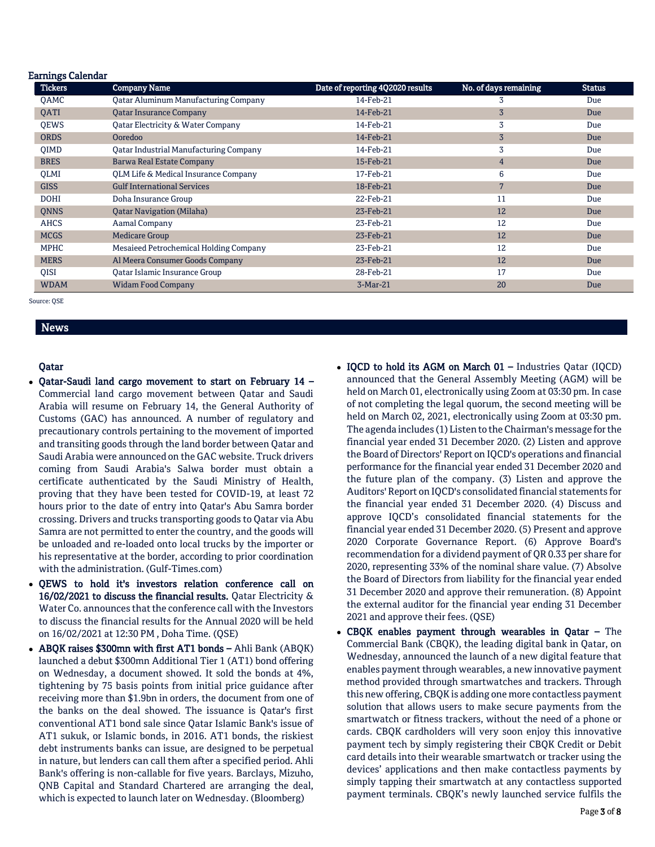| <b>Earnings Calendar</b> |                                               |                                  |                       |               |
|--------------------------|-----------------------------------------------|----------------------------------|-----------------------|---------------|
| <b>Tickers</b>           | <b>Company Name</b>                           | Date of reporting 4Q2020 results | No. of days remaining | <b>Status</b> |
| <b>OAMC</b>              | <b>Qatar Aluminum Manufacturing Company</b>   | 14-Feb-21                        | 3                     | Due           |
| <b>OATI</b>              | <b>Qatar Insurance Company</b>                | 14-Feb-21                        | 3                     | Due           |
| <b>OEWS</b>              | Qatar Electricity & Water Company             | 14-Feb-21                        | 3                     | Due           |
| <b>ORDS</b>              | Ooredoo                                       | 14-Feb-21                        | $\overline{3}$        | Due           |
| <b>OIMD</b>              | <b>Qatar Industrial Manufacturing Company</b> | 14-Feb-21                        | 3                     | Due           |
| <b>BRES</b>              | <b>Barwa Real Estate Company</b>              | 15-Feb-21                        | $\overline{4}$        | Due           |
| <b>QLMI</b>              | QLM Life & Medical Insurance Company          | 17-Feb-21                        | 6                     | Due           |
| <b>GISS</b>              | <b>Gulf International Services</b>            | 18-Feb-21                        | 7                     | Due           |
| <b>DOHI</b>              | Doha Insurance Group                          | 22-Feb-21                        | 11                    | Due           |
| <b>QNNS</b>              | <b>Qatar Navigation (Milaha)</b>              | 23-Feb-21                        | 12                    | Due           |
| <b>AHCS</b>              | Aamal Company                                 | 23-Feb-21                        | 12                    | Due           |
| <b>MCGS</b>              | <b>Medicare Group</b>                         | 23-Feb-21                        | 12                    | Due           |
| <b>MPHC</b>              | Mesaieed Petrochemical Holding Company        | 23-Feb-21                        | 12                    | Due           |
| <b>MERS</b>              | Al Meera Consumer Goods Company               | 23-Feb-21                        | 12                    | Due           |
| QISI                     | Qatar Islamic Insurance Group                 | 28-Feb-21                        | 17                    | Due           |
| <b>WDAM</b>              | <b>Widam Food Company</b>                     | $3-Mar-21$                       | 20                    | Due           |

Source: QSE

# News

### Qatar

- Qatar-Saudi land cargo movement to start on February 14 Commercial land cargo movement between Qatar and Saudi Arabia will resume on February 14, the General Authority of Customs (GAC) has announced. A number of regulatory and precautionary controls pertaining to the movement of imported and transiting goods through the land border between Qatar and Saudi Arabia were announced on the GAC website. Truck drivers coming from Saudi Arabia's Salwa border must obtain a certificate authenticated by the Saudi Ministry of Health, proving that they have been tested for COVID-19, at least 72 hours prior to the date of entry into Qatar's Abu Samra border crossing. Drivers and trucks transporting goods to Qatar via Abu Samra are not permitted to enter the country, and the goods will be unloaded and re-loaded onto local trucks by the importer or his representative at the border, according to prior coordination with the administration. (Gulf-Times.com)
- QEWS to hold it's investors relation conference call on 16/02/2021 to discuss the financial results. Qatar Electricity & Water Co. announces that the conference call with the Investors to discuss the financial results for the Annual 2020 will be held on 16/02/2021 at 12:30 PM , Doha Time. (QSE)
- ABQK raises \$300mn with first AT1 bonds Ahli Bank (ABQK) launched a debut \$300mn Additional Tier 1 (AT1) bond offering on Wednesday, a document showed. It sold the bonds at 4%, tightening by 75 basis points from initial price guidance after receiving more than \$1.9bn in orders, the document from one of the banks on the deal showed. The issuance is Qatar's first conventional AT1 bond sale since Qatar Islamic Bank's issue of AT1 sukuk, or Islamic bonds, in 2016. AT1 bonds, the riskiest debt instruments banks can issue, are designed to be perpetual in nature, but lenders can call them after a specified period. Ahli Bank's offering is non-callable for five years. Barclays, Mizuho, QNB Capital and Standard Chartered are arranging the deal, which is expected to launch later on Wednesday. (Bloomberg)
- IQCD to hold its AGM on March 01 Industries Qatar (IQCD) announced that the General Assembly Meeting (AGM) will be held on March 01, electronically using Zoom at 03:30 pm. In case of not completing the legal quorum, the second meeting will be held on March 02, 2021, electronically using Zoom at 03:30 pm. The agenda includes (1) Listen to the Chairman's message for the financial year ended 31 December 2020. (2) Listen and approve the Board of Directors' Report on IQCD's operations and financial performance for the financial year ended 31 December 2020 and the future plan of the company. (3) Listen and approve the Auditors' Report on IQCD's consolidated financial statements for the financial year ended 31 December 2020. (4) Discuss and approve IQCD's consolidated financial statements for the financial year ended 31 December 2020. (5) Present and approve 2020 Corporate Governance Report. (6) Approve Board's recommendation for a dividend payment of QR 0.33 per share for 2020, representing 33% of the nominal share value. (7) Absolve the Board of Directors from liability for the financial year ended 31 December 2020 and approve their remuneration. (8) Appoint the external auditor for the financial year ending 31 December 2021 and approve their fees. (QSE)
- CBQK enables payment through wearables in Qatar The Commercial Bank (CBQK), the leading digital bank in Qatar, on Wednesday, announced the launch of a new digital feature that enables payment through wearables, a new innovative payment method provided through smartwatches and trackers. Through this new offering, CBQK is adding one more contactless payment solution that allows users to make secure payments from the smartwatch or fitness trackers, without the need of a phone or cards. CBQK cardholders will very soon enjoy this innovative payment tech by simply registering their CBQK Credit or Debit card details into their wearable smartwatch or tracker using the devices' applications and then make contactless payments by simply tapping their smartwatch at any contactless supported payment terminals. CBQK's newly launched service fulfils the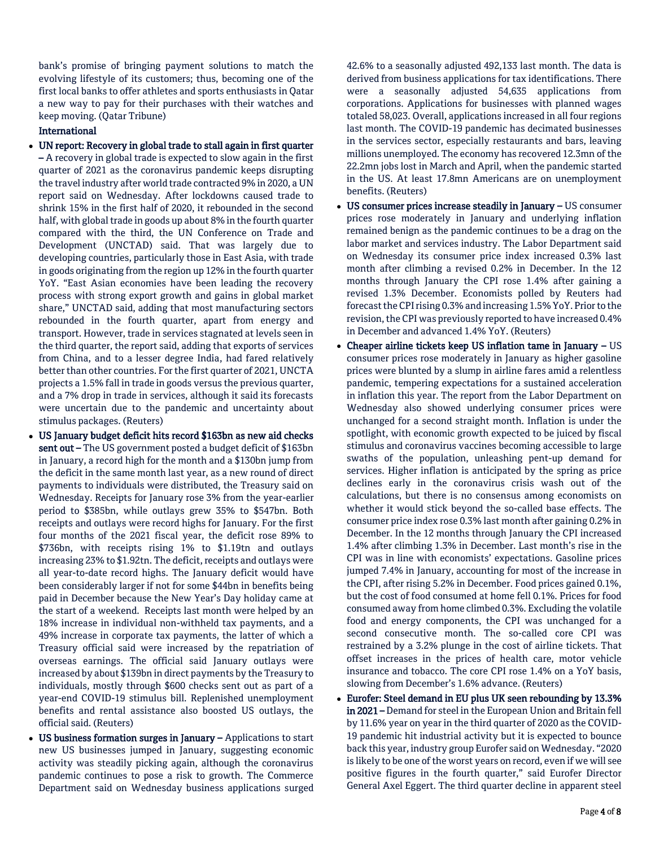bank's promise of bringing payment solutions to match the evolving lifestyle of its customers; thus, becoming one of the first local banks to offer athletes and sports enthusiasts in Qatar a new way to pay for their purchases with their watches and keep moving. (Qatar Tribune)

# International

- UN report: Recovery in global trade to stall again in first quarter – A recovery in global trade is expected to slow again in the first quarter of 2021 as the coronavirus pandemic keeps disrupting the travel industry after world trade contracted 9% in 2020, a UN report said on Wednesday. After lockdowns caused trade to shrink 15% in the first half of 2020, it rebounded in the second half, with global trade in goods up about 8% in the fourth quarter compared with the third, the UN Conference on Trade and Development (UNCTAD) said. That was largely due to developing countries, particularly those in East Asia, with trade in goods originating from the region up 12% in the fourth quarter YoY. "East Asian economies have been leading the recovery process with strong export growth and gains in global market share," UNCTAD said, adding that most manufacturing sectors rebounded in the fourth quarter, apart from energy and transport. However, trade in services stagnated at levels seen in the third quarter, the report said, adding that exports of services from China, and to a lesser degree India, had fared relatively better than other countries. For the first quarter of 2021, UNCTA projects a 1.5% fall in trade in goods versus the previous quarter, and a 7% drop in trade in services, although it said its forecasts were uncertain due to the pandemic and uncertainty about stimulus packages. (Reuters)
- US January budget deficit hits record \$163bn as new aid checks sent out - The US government posted a budget deficit of \$163bn in January, a record high for the month and a \$130bn jump from the deficit in the same month last year, as a new round of direct payments to individuals were distributed, the Treasury said on Wednesday. Receipts for January rose 3% from the year-earlier period to \$385bn, while outlays grew 35% to \$547bn. Both receipts and outlays were record highs for January. For the first four months of the 2021 fiscal year, the deficit rose 89% to \$736bn, with receipts rising 1% to \$1.19tn and outlays increasing 23% to \$1.92tn. The deficit, receipts and outlays were all year-to-date record highs. The January deficit would have been considerably larger if not for some \$44bn in benefits being paid in December because the New Year's Day holiday came at the start of a weekend. Receipts last month were helped by an 18% increase in individual non-withheld tax payments, and a 49% increase in corporate tax payments, the latter of which a Treasury official said were increased by the repatriation of overseas earnings. The official said January outlays were increased by about \$139bn in direct payments by the Treasury to individuals, mostly through \$600 checks sent out as part of a year-end COVID-19 stimulus bill. Replenished unemployment benefits and rental assistance also boosted US outlays, the official said. (Reuters)
- US business formation surges in January Applications to start new US businesses jumped in January, suggesting economic activity was steadily picking again, although the coronavirus pandemic continues to pose a risk to growth. The Commerce Department said on Wednesday business applications surged

42.6% to a seasonally adjusted 492,133 last month. The data is derived from business applications for tax identifications. There were a seasonally adjusted 54,635 applications from corporations. Applications for businesses with planned wages totaled 58,023. Overall, applications increased in all four regions last month. The COVID-19 pandemic has decimated businesses in the services sector, especially restaurants and bars, leaving millions unemployed. The economy has recovered 12.3mn of the 22.2mn jobs lost in March and April, when the pandemic started in the US. At least 17.8mn Americans are on unemployment benefits. (Reuters)

- US consumer prices increase steadily in January US consumer prices rose moderately in January and underlying inflation remained benign as the pandemic continues to be a drag on the labor market and services industry. The Labor Department said on Wednesday its consumer price index increased 0.3% last month after climbing a revised 0.2% in December. In the 12 months through January the CPI rose 1.4% after gaining a revised 1.3% December. Economists polled by Reuters had forecast the CPI rising 0.3% and increasing 1.5% YoY. Prior to the revision, the CPI was previously reported to have increased 0.4% in December and advanced 1.4% YoY. (Reuters)
- Cheaper airline tickets keep US inflation tame in January US consumer prices rose moderately in January as higher gasoline prices were blunted by a slump in airline fares amid a relentless pandemic, tempering expectations for a sustained acceleration in inflation this year. The report from the Labor Department on Wednesday also showed underlying consumer prices were unchanged for a second straight month. Inflation is under the spotlight, with economic growth expected to be juiced by fiscal stimulus and coronavirus vaccines becoming accessible to large swaths of the population, unleashing pent-up demand for services. Higher inflation is anticipated by the spring as price declines early in the coronavirus crisis wash out of the calculations, but there is no consensus among economists on whether it would stick beyond the so-called base effects. The consumer price index rose 0.3% last month after gaining 0.2% in December. In the 12 months through January the CPI increased 1.4% after climbing 1.3% in December. Last month's rise in the CPI was in line with economists' expectations. Gasoline prices jumped 7.4% in January, accounting for most of the increase in the CPI, after rising 5.2% in December. Food prices gained 0.1%, but the cost of food consumed at home fell 0.1%. Prices for food consumed away from home climbed 0.3%. Excluding the volatile food and energy components, the CPI was unchanged for a second consecutive month. The so-called core CPI was restrained by a 3.2% plunge in the cost of airline tickets. That offset increases in the prices of health care, motor vehicle insurance and tobacco. The core CPI rose 1.4% on a YoY basis, slowing from December's 1.6% advance. (Reuters)
- Eurofer: Steel demand in EU plus UK seen rebounding by 13.3% in 2021 – Demand for steel in the European Union and Britain fell by 11.6% year on year in the third quarter of 2020 as the COVID-19 pandemic hit industrial activity but it is expected to bounce back this year, industry group Eurofer said on Wednesday. "2020 is likely to be one of the worst years on record, even if we will see positive figures in the fourth quarter," said Eurofer Director General Axel Eggert. The third quarter decline in apparent steel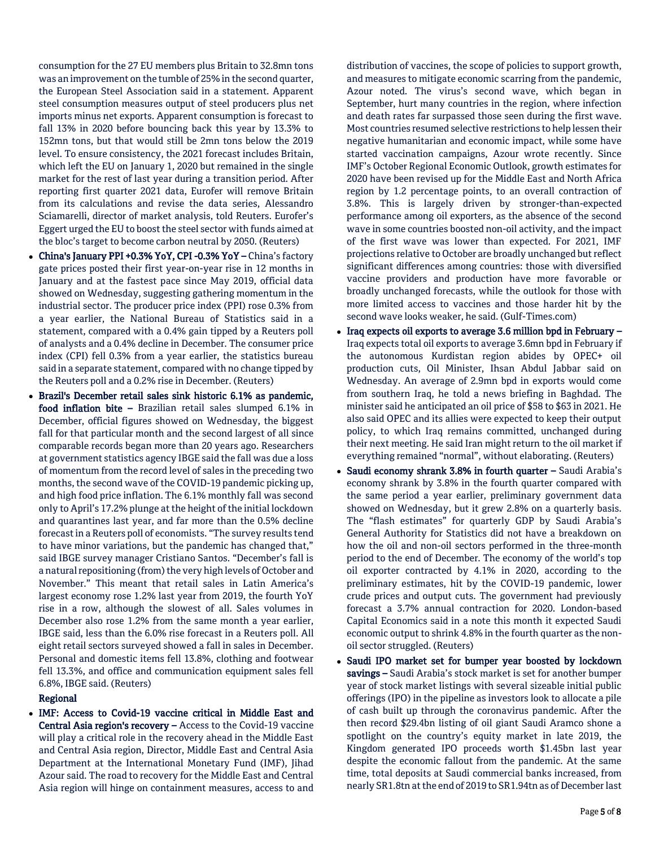consumption for the 27 EU members plus Britain to 32.8mn tons was an improvement on the tumble of 25% in the second quarter, the European Steel Association said in a statement. Apparent steel consumption measures output of steel producers plus net imports minus net exports. Apparent consumption is forecast to fall 13% in 2020 before bouncing back this year by 13.3% to 152mn tons, but that would still be 2mn tons below the 2019 level. To ensure consistency, the 2021 forecast includes Britain, which left the EU on January 1, 2020 but remained in the single market for the rest of last year during a transition period. After reporting first quarter 2021 data, Eurofer will remove Britain from its calculations and revise the data series, Alessandro Sciamarelli, director of market analysis, told Reuters. Eurofer's Eggert urged the EU to boost the steel sector with funds aimed at the bloc's target to become carbon neutral by 2050. (Reuters)

- China's January PPI +0.3% YoY, CPI -0.3% YoY China's factory gate prices posted their first year-on-year rise in 12 months in January and at the fastest pace since May 2019, official data showed on Wednesday, suggesting gathering momentum in the industrial sector. The producer price index (PPI) rose 0.3% from a year earlier, the National Bureau of Statistics said in a statement, compared with a 0.4% gain tipped by a Reuters poll of analysts and a 0.4% decline in December. The consumer price index (CPI) fell 0.3% from a year earlier, the statistics bureau said in a separate statement, compared with no change tipped by the Reuters poll and a 0.2% rise in December. (Reuters)
- Brazil's December retail sales sink historic 6.1% as pandemic, food inflation bite – Brazilian retail sales slumped 6.1% in December, official figures showed on Wednesday, the biggest fall for that particular month and the second largest of all since comparable records began more than 20 years ago. Researchers at government statistics agency IBGE said the fall was due a loss of momentum from the record level of sales in the preceding two months, the second wave of the COVID-19 pandemic picking up, and high food price inflation. The 6.1% monthly fall was second only to April's 17.2% plunge at the height of the initial lockdown and quarantines last year, and far more than the 0.5% decline forecast in a Reuters poll of economists. "The survey results tend to have minor variations, but the pandemic has changed that," said IBGE survey manager Cristiano Santos. "December's fall is a natural repositioning (from) the very high levels of October and November." This meant that retail sales in Latin America's largest economy rose 1.2% last year from 2019, the fourth YoY rise in a row, although the slowest of all. Sales volumes in December also rose 1.2% from the same month a year earlier, IBGE said, less than the 6.0% rise forecast in a Reuters poll. All eight retail sectors surveyed showed a fall in sales in December. Personal and domestic items fell 13.8%, clothing and footwear fell 13.3%, and office and communication equipment sales fell 6.8%, IBGE said. (Reuters)

# Regional

 IMF: Access to Covid-19 vaccine critical in Middle East and Central Asia region's recovery – Access to the Covid-19 vaccine will play a critical role in the recovery ahead in the Middle East and Central Asia region, Director, Middle East and Central Asia Department at the International Monetary Fund (IMF), Jihad Azour said. The road to recovery for the Middle East and Central Asia region will hinge on containment measures, access to and

distribution of vaccines, the scope of policies to support growth, and measures to mitigate economic scarring from the pandemic, Azour noted. The virus's second wave, which began in September, hurt many countries in the region, where infection and death rates far surpassed those seen during the first wave. Most countries resumed selective restrictions to help lessen their negative humanitarian and economic impact, while some have started vaccination campaigns, Azour wrote recently. Since IMF's October Regional Economic Outlook, growth estimates for 2020 have been revised up for the Middle East and North Africa region by 1.2 percentage points, to an overall contraction of 3.8%. This is largely driven by stronger-than-expected performance among oil exporters, as the absence of the second wave in some countries boosted non-oil activity, and the impact of the first wave was lower than expected. For 2021, IMF projections relative to October are broadly unchanged but reflect significant differences among countries: those with diversified vaccine providers and production have more favorable or broadly unchanged forecasts, while the outlook for those with more limited access to vaccines and those harder hit by the second wave looks weaker, he said. (Gulf-Times.com)

- $\bullet$  Iraq expects oil exports to average 3.6 million bpd in February Iraq expects total oil exports to average 3.6mn bpd in February if the autonomous Kurdistan region abides by OPEC+ oil production cuts, Oil Minister, Ihsan Abdul Jabbar said on Wednesday. An average of 2.9mn bpd in exports would come from southern Iraq, he told a news briefing in Baghdad. The minister said he anticipated an oil price of \$58 to \$63 in 2021. He also said OPEC and its allies were expected to keep their output policy, to which Iraq remains committed, unchanged during their next meeting. He said Iran might return to the oil market if everything remained "normal", without elaborating. (Reuters)
- Saudi economy shrank 3.8% in fourth quarter Saudi Arabia's economy shrank by 3.8% in the fourth quarter compared with the same period a year earlier, preliminary government data showed on Wednesday, but it grew 2.8% on a quarterly basis. The "flash estimates" for quarterly GDP by Saudi Arabia's General Authority for Statistics did not have a breakdown on how the oil and non-oil sectors performed in the three-month period to the end of December. The economy of the world's top oil exporter contracted by 4.1% in 2020, according to the preliminary estimates, hit by the COVID-19 pandemic, lower crude prices and output cuts. The government had previously forecast a 3.7% annual contraction for 2020. London-based Capital Economics said in a note this month it expected Saudi economic output to shrink 4.8% in the fourth quarter as the nonoil sector struggled. (Reuters)
- Saudi IPO market set for bumper year boosted by lockdown savings - Saudi Arabia's stock market is set for another bumper year of stock market listings with several sizeable initial public offerings (IPO) in the pipeline as investors look to allocate a pile of cash built up through the coronavirus pandemic. After the then record \$29.4bn listing of oil giant Saudi Aramco shone a spotlight on the country's equity market in late 2019, the Kingdom generated IPO proceeds worth \$1.45bn last year despite the economic fallout from the pandemic. At the same time, total deposits at Saudi commercial banks increased, from nearly SR1.8tn at the end of 2019 to SR1.94tn as of December last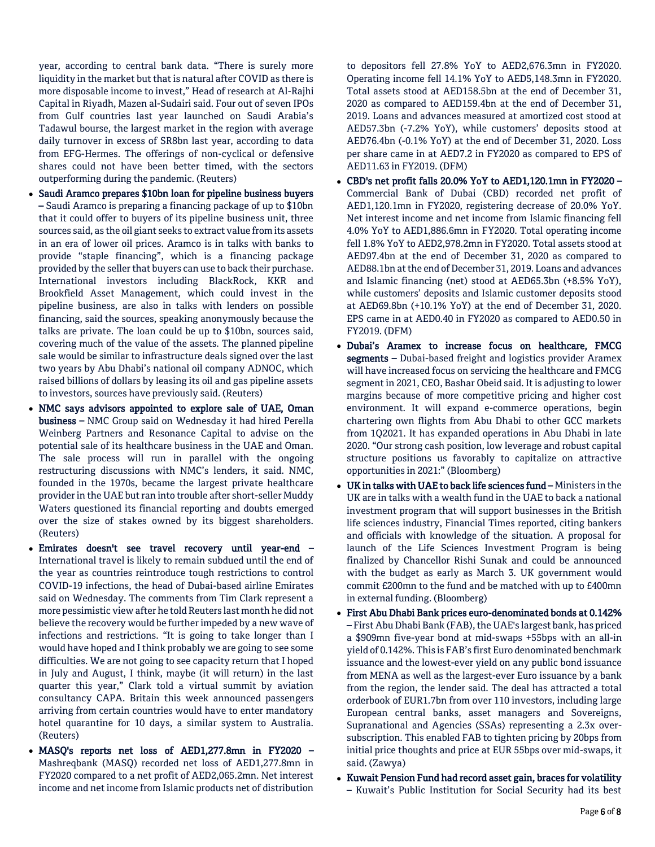year, according to central bank data. "There is surely more liquidity in the market but that is natural after COVID as there is more disposable income to invest," Head of research at Al-Rajhi Capital in Riyadh, Mazen al-Sudairi said. Four out of seven IPOs from Gulf countries last year launched on Saudi Arabia's Tadawul bourse, the largest market in the region with average daily turnover in excess of SR8bn last year, according to data from EFG-Hermes. The offerings of non-cyclical or defensive shares could not have been better timed, with the sectors outperforming during the pandemic. (Reuters)

- Saudi Aramco prepares \$10bn loan for pipeline business buyers – Saudi Aramco is preparing a financing package of up to \$10bn that it could offer to buyers of its pipeline business unit, three sources said, as the oil giant seeks to extract value from its assets in an era of lower oil prices. Aramco is in talks with banks to provide "staple financing", which is a financing package provided by the seller that buyers can use to back their purchase. International investors including BlackRock, KKR and Brookfield Asset Management, which could invest in the pipeline business, are also in talks with lenders on possible financing, said the sources, speaking anonymously because the talks are private. The loan could be up to \$10bn, sources said, covering much of the value of the assets. The planned pipeline sale would be similar to infrastructure deals signed over the last two years by Abu Dhabi's national oil company ADNOC, which raised billions of dollars by leasing its oil and gas pipeline assets to investors, sources have previously said. (Reuters)
- NMC says advisors appointed to explore sale of UAE, Oman business – NMC Group said on Wednesday it had hired Perella Weinberg Partners and Resonance Capital to advise on the potential sale of its healthcare business in the UAE and Oman. The sale process will run in parallel with the ongoing restructuring discussions with NMC's lenders, it said. NMC, founded in the 1970s, became the largest private healthcare provider in the UAE but ran into trouble after short-seller Muddy Waters questioned its financial reporting and doubts emerged over the size of stakes owned by its biggest shareholders. (Reuters)
- Emirates doesn't see travel recovery until year-end International travel is likely to remain subdued until the end of the year as countries reintroduce tough restrictions to control COVID-19 infections, the head of Dubai-based airline Emirates said on Wednesday. The comments from Tim Clark represent a more pessimistic view after he told Reuters last month he did not believe the recovery would be further impeded by a new wave of infections and restrictions. "It is going to take longer than I would have hoped and I think probably we are going to see some difficulties. We are not going to see capacity return that I hoped in July and August, I think, maybe (it will return) in the last quarter this year," Clark told a virtual summit by aviation consultancy CAPA. Britain this week announced passengers arriving from certain countries would have to enter mandatory hotel quarantine for 10 days, a similar system to Australia. (Reuters)
- MASQ's reports net loss of AED1,277.8mn in FY2020 Mashreqbank (MASQ) recorded net loss of AED1,277.8mn in FY2020 compared to a net profit of AED2,065.2mn. Net interest income and net income from Islamic products net of distribution

to depositors fell 27.8% YoY to AED2,676.3mn in FY2020. Operating income fell 14.1% YoY to AED5,148.3mn in FY2020. Total assets stood at AED158.5bn at the end of December 31, 2020 as compared to AED159.4bn at the end of December 31, 2019. Loans and advances measured at amortized cost stood at AED57.3bn (-7.2% YoY), while customers' deposits stood at AED76.4bn (-0.1% YoY) at the end of December 31, 2020. Loss per share came in at AED7.2 in FY2020 as compared to EPS of AED11.63 in FY2019. (DFM)

- CBD's net profit falls 20.0% YoY to AED1,120.1mn in FY2020 Commercial Bank of Dubai (CBD) recorded net profit of AED1,120.1mn in FY2020, registering decrease of 20.0% YoY. Net interest income and net income from Islamic financing fell 4.0% YoY to AED1,886.6mn in FY2020. Total operating income fell 1.8% YoY to AED2,978.2mn in FY2020. Total assets stood at AED97.4bn at the end of December 31, 2020 as compared to AED88.1bn at the end of December 31, 2019. Loans and advances and Islamic financing (net) stood at AED65.3bn (+8.5% YoY), while customers' deposits and Islamic customer deposits stood at AED69.8bn (+10.1% YoY) at the end of December 31, 2020. EPS came in at AED0.40 in FY2020 as compared to AED0.50 in FY2019. (DFM)
- Dubai's Aramex to increase focus on healthcare, FMCG segments – Dubai-based freight and logistics provider Aramex will have increased focus on servicing the healthcare and FMCG segment in 2021, CEO, Bashar Obeid said. It is adjusting to lower margins because of more competitive pricing and higher cost environment. It will expand e-commerce operations, begin chartering own flights from Abu Dhabi to other GCC markets from 1Q2021. It has expanded operations in Abu Dhabi in late 2020. "Our strong cash position, low leverage and robust capital structure positions us favorably to capitalize on attractive opportunities in 2021:" (Bloomberg)
- UK in talks with UAE to back life sciences fund Ministers in the UK are in talks with a wealth fund in the UAE to back a national investment program that will support businesses in the British life sciences industry, Financial Times reported, citing bankers and officials with knowledge of the situation. A proposal for launch of the Life Sciences Investment Program is being finalized by Chancellor Rishi Sunak and could be announced with the budget as early as March 3. UK government would commit £200mn to the fund and be matched with up to £400mn in external funding. (Bloomberg)
- First Abu Dhabi Bank prices euro-denominated bonds at 0.142% – First Abu Dhabi Bank (FAB), the UAE's largest bank, has priced a \$909mn five-year bond at mid-swaps +55bps with an all-in yield of 0.142%. This is FAB's first Euro denominated benchmark issuance and the lowest-ever yield on any public bond issuance from MENA as well as the largest-ever Euro issuance by a bank from the region, the lender said. The deal has attracted a total orderbook of EUR1.7bn from over 110 investors, including large European central banks, asset managers and Sovereigns, Supranational and Agencies (SSAs) representing a 2.3x oversubscription. This enabled FAB to tighten pricing by 20bps from initial price thoughts and price at EUR 55bps over mid-swaps, it said. (Zawya)
- Kuwait Pension Fund had record asset gain, braces for volatility – Kuwait's Public Institution for Social Security had its best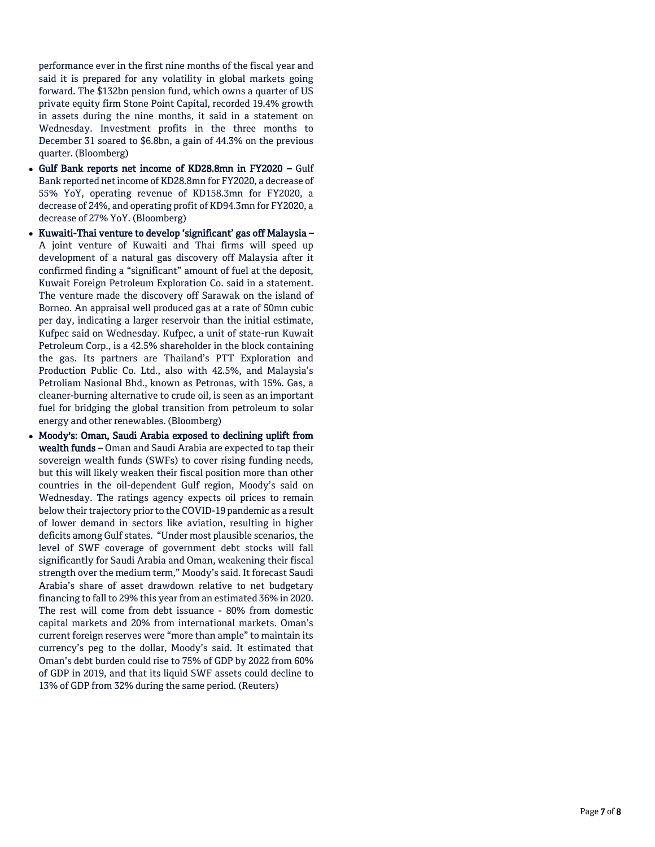performance ever in the first nine months of the fiscal year and said it is prepared for any volatility in global markets going forward. The \$132bn pension fund, which owns a quarter of US private equity firm Stone Point Capital, recorded 19.4% growth in assets during the nine months, it said in a statement on Wednesday. Investment profits in the three months to December 31 soared to \$6.8bn, a gain of 44.3% on the previous quarter. (Bloomberg)

- Gulf Bank reports net income of KD28.8mn in FY2020 Gulf Bank reported net income of KD28.8mn for FY2020, a decrease of 55% YoY, operating revenue of KD158.3mn for FY2020, a decrease of 24%, and operating profit of KD94.3mn for FY2020, a decrease of 27% YoY. (Bloomberg)
- Kuwaiti-Thai venture to develop 'significant' gas off Malaysia A joint venture of Kuwaiti and Thai firms will speed up development of a natural gas discovery off Malaysia after it confirmed finding a "significant" amount of fuel at the deposit, Kuwait Foreign Petroleum Exploration Co. said in a statement. The venture made the discovery off Sarawak on the island of Borneo. An appraisal well produced gas at a rate of 50mn cubic per day, indicating a larger reservoir than the initial estimate, Kufpec said on Wednesday. Kufpec, a unit of state -run Kuwait Petroleum Corp., is a 42.5% shareholder in the block containing the gas. Its partners are Thailand's PTT Exploration and Production Public Co. Ltd., also with 42.5%, and Malaysia's Petroliam Nasional Bhd., known as Petronas, with 15%. Gas, a cleaner -burning alternative to crude oil, is seen as an important fuel for bridging the global transition from petroleum to solar energy and other renewables. (Bloomberg)
- Moody's: Oman, Saudi Arabia exposed to declining uplift from wealth funds – Oman and Saudi Arabia are expected to tap their sovereign wealth funds (SWFs) to cover rising funding needs, but this will likely weaken their fiscal position more than other countries in the oil -dependent Gulf region, Moody's said on Wednesday. The ratings agency expects oil prices to remain below their trajectory prior to the COVID -19 pandemic as a result of lower demand in sectors like aviation, resulting in higher deficits among Gulf states. "Under most plausible scenarios, the level of SWF coverage of government debt stocks will fall significantly for Saudi Arabia and Oman, weakening their fiscal strength over the medium term," Moody's said. It forecast Saudi Arabia's share of asset drawdown relative to net budgetary financing to fall to 29% this year from an estimated 36% in 2020. The rest will come from debt issuance - 80% from domestic capital markets and 20% from international markets. Oman's current foreign reserves were "more than ample" to maintain its currency's peg to the dollar, Moody's said. It estimated that Oman's debt burden could rise to 75% of GDP by 2022 from 60% of GDP in 2019, and that its liquid SWF assets could decline to 13% of GDP from 32% during the same period. (Reuters)